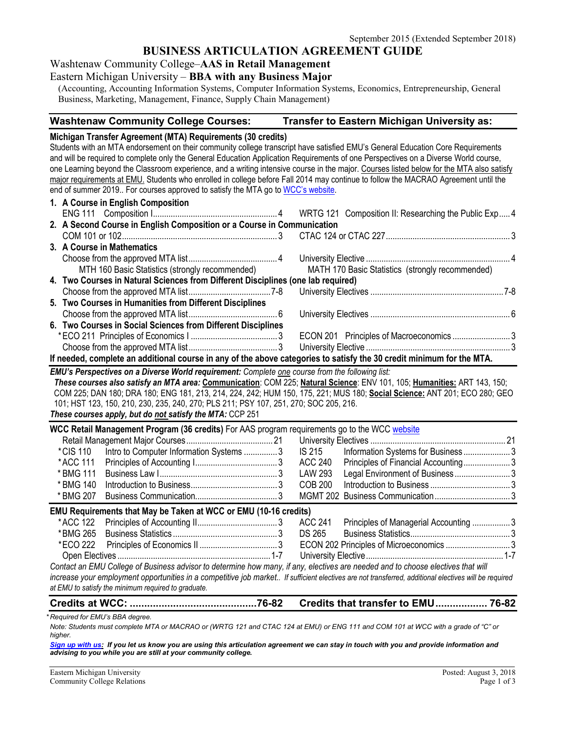## **BUSINESS ARTICULATION AGREEMENT GUIDE**

Washtenaw Community College–**AAS in Retail Management**

#### Eastern Michigan University – **BBA with any Business Major**

(Accounting, Accounting Information Systems, Computer Information Systems, Economics, Entrepreneurship, General Business, Marketing, Management, Finance, Supply Chain Management)

## **Washtenaw Community College Courses: Transfer to Eastern Michigan University as:**

**Michigan Transfer Agreement (MTA) Requirements (30 credits)** Students with an MTA endorsement on their community college transcript have satisfied EMU's General Education Core Requirements and will be required to complete only the General Education Application Requirements of one Perspectives on a Diverse World course, one Learning beyond the Classroom experience, and a writing intensive course in the major. Courses listed below for the MTA also satisfy major requirements at EMU. Students who enrolled in college before Fall 2014 may continue to follow the MACRAO Agreement until the end of summer 2019.. For courses approved to satisfy the MTA go t[o WCC's website.](http://www.wccnet.edu/services/transferresources/mta/) **1. A Course in English Composition** WRTG 121 Composition II: Researching the Public Exp..... 4 **2. A Second Course in English Composition or a Course in Communication** COM 101 or 102...................................................................... 3 CTAC 124 or CTAC 227........................................................ 3 **3. A Course in Mathematics** Choose from the approved MTA list........................................ 4 University Elective ................................................................. 4 MTH 160 Basic Statistics (strongly recommended) MATH 170 Basic Statistics (strongly recommended) **4. Two Courses in Natural Sciences from Different Disciplines (one lab required)** Choose from the approved MTA list.....................................7-8 University Electives ............................................................7-8 **5. Two Courses in Humanities from Different Disciplines** Choose from the approved MTA list........................................ 6 University Electives ............................................................... 6 **6. Two Courses in Social Sciences from Different Disciplines** \*ECO 211 Principles of Economics I ....................................... 3 ECON 201 Principles of Macroeconomics .......................... 3 Choose from the approved MTA list........................................ 3 University Elective ................................................................. 3 **If needed, complete an additional course in any of the above categories to satisfy the 30 credit minimum for the MTA.** *EMU's Perspectives on a Diverse World requirement: Complete one course from the following list: These courses also satisfy an MTA area:* **Communication**: COM 225; **Natural Science**: ENV 101, 105; **Humanities:** ART 143, 150; COM 225; DAN 180; DRA 180; ENG 181, 213, 214, 224, 242; HUM 150, 175, 221; MUS 180; **Social Science:** ANT 201; ECO 280; GEO 101; HST 123, 150, 210, 230, 235, 240, 270; PLS 211; PSY 107, 251, 270; SOC 205, 216. *These courses apply, but do not satisfy the MTA:* CCP 251 **WCC Retail Management Program (36 credits)** For AAS program requirements go to the WCC [website](http://www.wccnet.edu/academics/programs/view/program/APRM/) Retail Management Major Courses....................................... 21 University Electives ............................................................. 21 \*CIS 110 Intro to Computer Information Systems ............... 3 IS 215 Information Systems for Business ..................... 3 \*ACC 111 Principles of Accounting I..................................... 3 ACC 240 Principles of Financial Accounting..................... 3 \* BMG 111 Business Law I..................................................... 3 LAW 293 Legal Environment of Business ......................... 3 \* BMG 140 Introduction to Business....................................... 3 COB 200 Introduction to Business .................................... 3 \* BMG 207 Business Communication..................................... 3 MGMT 202 Business Communication.................................. 3 **EMU Requirements that May be Taken at WCC or EMU (10-16 credits)** \*ACC 122 Principles of Accounting II.................................... 3 ACC 241 Principles of Managerial Accounting ................. 3 \*BMG 265 Business Statistics ............................................... 3 DS 265 Business Statistics............................................. 3 \*ECO 222 Principles of Economics II ................................... 3 ECON 202 Principles of Microeconomics ............................. 3 Open Electives .....................................................................1-7 University Elective..............................................................1-7 *Contact an EMU College of Business advisor to determine how many, if any, electives are needed and to choose electives that will increase your employment opportunities in a competitive job market.. If sufficient electives are not transferred, additional electives will be required at EMU to satisfy the minimum required to graduate.* **Credits at WCC: ............................................76-82 Credits that transfer to EMU.................. 76-82** *\* Required for EMU's BBA degree.*

*Note: Students must complete MTA or MACRAO or (WRTG 121 and CTAC 124 at EMU) or ENG 111 and COM 101 at WCC with a grade of "C" or higher.*

*[Sign up with us:](https://www.emich.edu/ccr/articulation-agreements/signup.php) If you let us know you are using this articulation agreement we can stay in touch with you and provide information and advising to you while you are still at your community college.*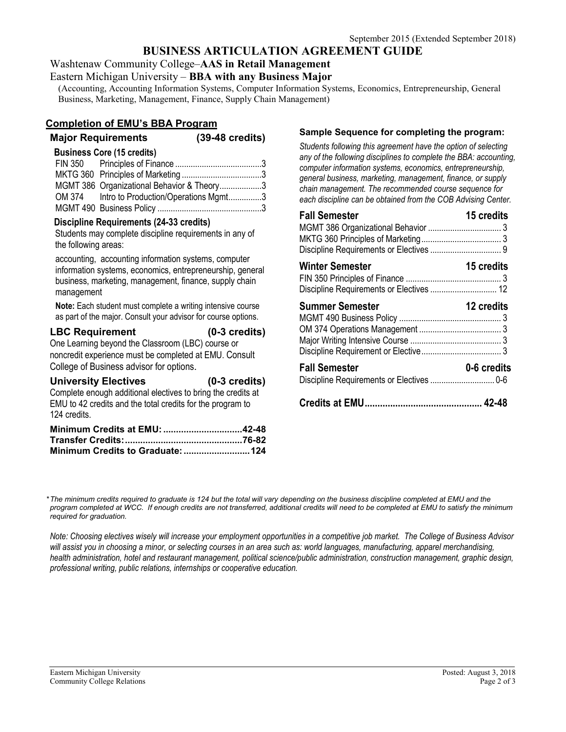# **BUSINESS ARTICULATION AGREEMENT GUIDE**

Washtenaw Community College–**AAS in Retail Management**

Eastern Michigan University – **BBA with any Business Major**

(Accounting, Accounting Information Systems, Computer Information Systems, Economics, Entrepreneurship, General Business, Marketing, Management, Finance, Supply Chain Management)

## **Completion of EMU's BBA Program**

## **Major Requirements (39-48 credits)**

#### **Business Core (15 credits)**

| MGMT 386 Organizational Behavior & Theory3  |  |
|---------------------------------------------|--|
| OM 374 Intro to Production/Operations Mgmt3 |  |
|                                             |  |

#### **Discipline Requirements (24-33 credits)**

Students may complete discipline requirements in any of the following areas:

accounting, accounting information systems, computer information systems, economics, entrepreneurship, general business, marketing, management, finance, supply chain management

**Note:** Each student must complete a writing intensive course as part of the major. Consult your advisor for course options.

#### **LBC Requirement (0-3 credits)** One Learning beyond the Classroom (LBC) course or noncredit experience must be completed at EMU. Consult College of Business advisor for options.

| <b>University Electives</b>                                  | $(0-3$ credits) |
|--------------------------------------------------------------|-----------------|
| Complete enough additional electives to bring the credits at |                 |
| EMU to 42 credits and the total credits for the program to   |                 |
| 124 credits.                                                 |                 |
| Minimum Cradite at FMII.                                     | 42-48           |

| Minimum Credits at EMU: 42-48 |  |
|-------------------------------|--|
|                               |  |
|                               |  |

### **Sample Sequence for completing the program:**

*Students following this agreement have the option of selecting any of the following disciplines to complete the BBA: accounting, computer information systems, economics, entrepreneurship, general business, marketing, management, finance, or supply chain management. The recommended course sequence for each discipline can be obtained from the COB Advising Center.* 

| <b>Fall Semester</b>                                               | 15 credits  |
|--------------------------------------------------------------------|-------------|
| <b>Winter Semester</b><br>Discipline Requirements or Electives  12 | 15 credits  |
| <b>Summer Semester</b>                                             | 12 credits  |
| <b>Fall Semester</b>                                               | 0-6 credits |
|                                                                    |             |

*\*The minimum credits required to graduate is 124 but the total will vary depending on the business discipline completed at EMU and the program completed at WCC. If enough credits are not transferred, additional credits will need to be completed at EMU to satisfy the minimum required for graduation.*

*Note: Choosing electives wisely will increase your employment opportunities in a competitive job market. The College of Business Advisor will assist you in choosing a minor, or selecting courses in an area such as: world languages, manufacturing, apparel merchandising, health administration, hotel and restaurant management, political science/public administration, construction management, graphic design, professional writing, public relations, internships or cooperative education.*